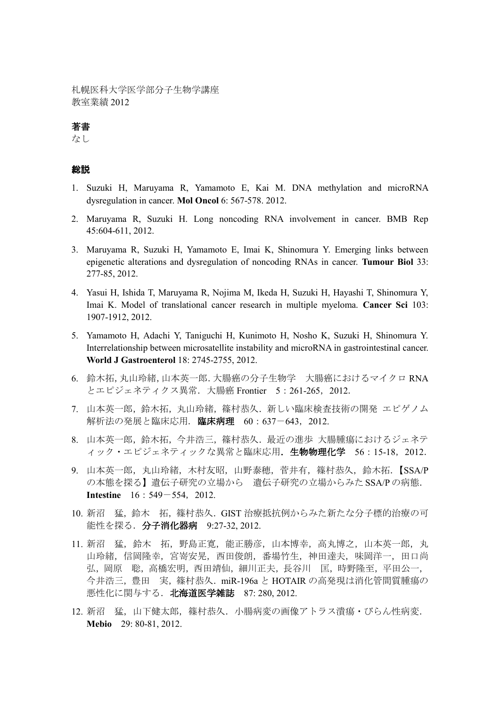札幌医科大学医学部分子生物学講座 教室業績 2012

### 著書

なし

#### 総説

- 1. Suzuki H, Maruyama R, Yamamoto E, Kai M. DNA methylation and microRNA dysregulation in cancer. **Mol Oncol** 6: 567-578. 2012.
- 2. Maruyama R, Suzuki H. Long noncoding RNA involvement in cancer. BMB Rep 45:604-611, 2012.
- 3. Maruyama R, Suzuki H, Yamamoto E, Imai K, Shinomura Y. Emerging links between epigenetic alterations and dysregulation of noncoding RNAs in cancer. **Tumour Biol** 33: 277-85, 2012.
- 4. Yasui H, Ishida T, Maruyama R, Nojima M, Ikeda H, Suzuki H, Hayashi T, Shinomura Y, Imai K. Model of translational cancer research in multiple myeloma. **Cancer Sci** 103: 1907-1912, 2012.
- 5. Yamamoto H, Adachi Y, Taniguchi H, Kunimoto H, Nosho K, Suzuki H, Shinomura Y. Interrelationship between microsatellite instability and microRNA in gastrointestinal cancer. **World J Gastroenterol** 18: 2745-2755, 2012.
- 6. 鈴木拓,丸山玲緒,山本英一郎.大腸癌の分子生物学 大腸癌におけるマイクロ RNA とエピジェネティクス異常.大腸癌 Frontier 5:261-265,2012.
- 7. 山本英一郎,鈴木拓,丸山玲緒,篠村恭久. 新しい臨床検査技術の開発 エピゲノム 解析法の発展と臨床応用. 臨床病理 60:637-643, 2012.
- 8. 山本英一郎,鈴木拓,今井浩三,篠村恭久.最近の進歩 大腸腫瘍におけるジェネテ ィック・エピジェネティックな異常と臨床応用. 生物物理化学 56:15-18, 2012.
- 9. 山本英一郎,丸山玲緒,木村友昭,山野泰穂,菅井有,篠村恭久,鈴木拓. 【SSA/P の本態を探る】遺伝子研究の立場から 遺伝子研究の立場からみた SSA/Pの病態. **Intestine** 16:549-554, 2012.
- 10. 新沼 猛,鈴木 拓,篠村恭久.GIST 治療抵抗例からみた新たな分子標的治療の可 能性を探る.分子消化器病 9:27-32, 2012.
- 11. 新沼 猛, 鈴木 拓, 野島正寛, 能正勝彦, 山本博幸, 高丸博之, 山本英一郎, 丸 山玲緒,信岡隆幸,宮嵜安晃,西田俊朗,番場竹生,神田達夫,味岡洋一,田口尚 弘,岡原 聡,高橋宏明,西田靖仙,細川正夫,長谷川 匡,時野隆至,平田公一, 今井浩三,豊田 実,篠村恭久.miR-196a と HOTAIR の高発現は消化管間質腫瘍の 悪性化に関与する.北海道医学雑誌 87: 280, 2012.
- 12. 新沼 猛,山下健太郎, 篠村恭久. 小腸病変の画像アトラス潰瘍・びらん性病変. **Mebio** 29: 80-81, 2012.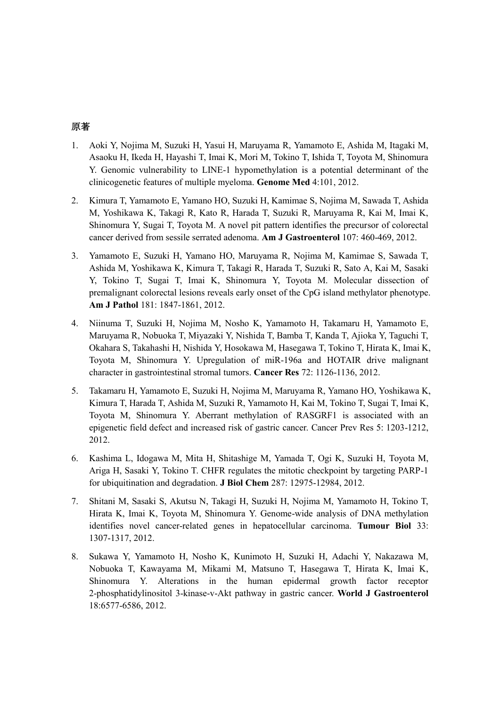### 原著

- 1. Aoki Y, Nojima M, Suzuki H, Yasui H, Maruyama R, Yamamoto E, Ashida M, Itagaki M, Asaoku H, Ikeda H, Hayashi T, Imai K, Mori M, Tokino T, Ishida T, Toyota M, Shinomura Y. Genomic vulnerability to LINE-1 hypomethylation is a potential determinant of the clinicogenetic features of multiple myeloma. **Genome Med** 4:101, 2012.
- 2. Kimura T, Yamamoto E, Yamano HO, Suzuki H, Kamimae S, Nojima M, Sawada T, Ashida M, Yoshikawa K, Takagi R, Kato R, Harada T, Suzuki R, Maruyama R, Kai M, Imai K, Shinomura Y, Sugai T, Toyota M. A novel pit pattern identifies the precursor of colorectal cancer derived from sessile serrated adenoma. **Am J Gastroenterol** 107: 460-469, 2012.
- 3. Yamamoto E, Suzuki H, Yamano HO, Maruyama R, Nojima M, Kamimae S, Sawada T, Ashida M, Yoshikawa K, Kimura T, Takagi R, Harada T, Suzuki R, Sato A, Kai M, Sasaki Y, Tokino T, Sugai T, Imai K, Shinomura Y, Toyota M. Molecular dissection of premalignant colorectal lesions reveals early onset of the CpG island methylator phenotype. **Am J Pathol** 181: 1847-1861, 2012.
- 4. Niinuma T, Suzuki H, Nojima M, Nosho K, Yamamoto H, Takamaru H, Yamamoto E, Maruyama R, Nobuoka T, Miyazaki Y, Nishida T, Bamba T, Kanda T, Ajioka Y, Taguchi T, Okahara S, Takahashi H, Nishida Y, Hosokawa M, Hasegawa T, Tokino T, Hirata K, Imai K, Toyota M, Shinomura Y. Upregulation of miR-196a and HOTAIR drive malignant character in gastrointestinal stromal tumors. **Cancer Res** 72: 1126-1136, 2012.
- 5. Takamaru H, Yamamoto E, Suzuki H, Nojima M, Maruyama R, Yamano HO, Yoshikawa K, Kimura T, Harada T, Ashida M, Suzuki R, Yamamoto H, Kai M, Tokino T, Sugai T, Imai K, Toyota M, Shinomura Y. Aberrant methylation of RASGRF1 is associated with an epigenetic field defect and increased risk of gastric cancer. Cancer Prev Res 5: 1203-1212, 2012.
- 6. Kashima L, Idogawa M, Mita H, Shitashige M, Yamada T, Ogi K, Suzuki H, Toyota M, Ariga H, Sasaki Y, Tokino T. CHFR regulates the mitotic checkpoint by targeting PARP-1 for ubiquitination and degradation. **J Biol Chem** 287: 12975-12984, 2012.
- 7. Shitani M, Sasaki S, Akutsu N, Takagi H, Suzuki H, Nojima M, Yamamoto H, Tokino T, Hirata K, Imai K, Toyota M, Shinomura Y. Genome-wide analysis of DNA methylation identifies novel cancer-related genes in hepatocellular carcinoma. **Tumour Biol** 33: 1307-1317, 2012.
- 8. Sukawa Y, Yamamoto H, Nosho K, Kunimoto H, Suzuki H, Adachi Y, Nakazawa M, Nobuoka T, Kawayama M, Mikami M, Matsuno T, Hasegawa T, Hirata K, Imai K, Shinomura Y. Alterations in the human epidermal growth factor receptor 2-phosphatidylinositol 3-kinase-v-Akt pathway in gastric cancer. **World J Gastroenterol** 18:6577-6586, 2012.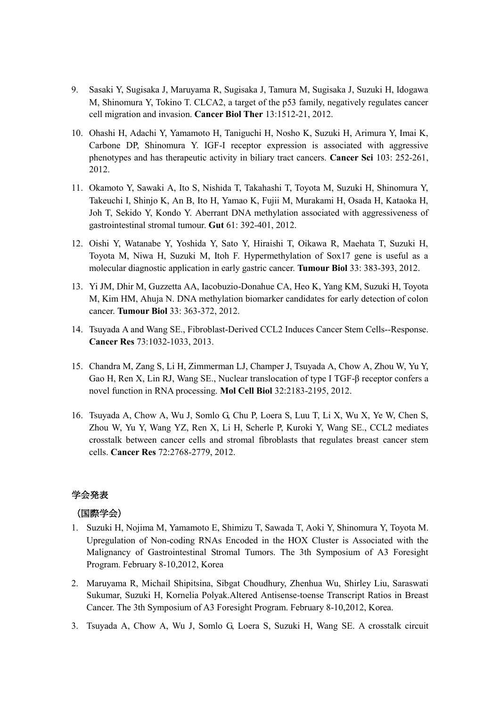- 9. Sasaki Y, Sugisaka J, Maruyama R, Sugisaka J, Tamura M, Sugisaka J, Suzuki H, Idogawa M, Shinomura Y, Tokino T. CLCA2, a target of the p53 family, negatively regulates cancer cell migration and invasion. **Cancer Biol Ther** 13:1512-21, 2012.
- 10. Ohashi H, Adachi Y, Yamamoto H, Taniguchi H, Nosho K, Suzuki H, Arimura Y, Imai K, Carbone DP, Shinomura Y. IGF-I receptor expression is associated with aggressive phenotypes and has therapeutic activity in biliary tract cancers. **Cancer Sci** 103: 252-261, 2012.
- 11. Okamoto Y, Sawaki A, Ito S, Nishida T, Takahashi T, Toyota M, Suzuki H, Shinomura Y, Takeuchi I, Shinjo K, An B, Ito H, Yamao K, Fujii M, Murakami H, Osada H, Kataoka H, Joh T, Sekido Y, Kondo Y. Aberrant DNA methylation associated with aggressiveness of gastrointestinal stromal tumour. **Gut** 61: 392-401, 2012.
- 12. Oishi Y, Watanabe Y, Yoshida Y, Sato Y, Hiraishi T, Oikawa R, Maehata T, Suzuki H, Toyota M, Niwa H, Suzuki M, Itoh F. Hypermethylation of Sox17 gene is useful as a molecular diagnostic application in early gastric cancer. **Tumour Biol** 33: 383-393, 2012.
- 13. Yi JM, Dhir M, Guzzetta AA, Iacobuzio-Donahue CA, Heo K, Yang KM, Suzuki H, Toyota M, Kim HM, Ahuja N. DNA methylation biomarker candidates for early detection of colon cancer. **Tumour Biol** 33: 363-372, 2012.
- 14. Tsuyada A and Wang SE., Fibroblast-Derived CCL2 Induces Cancer Stem Cells--Response. **Cancer Res** 73:1032-1033, 2013.
- 15. Chandra M, Zang S, Li H, Zimmerman LJ, Champer J, Tsuyada A, Chow A, Zhou W, Yu Y, Gao H, Ren X, Lin RJ, Wang SE., Nuclear translocation of type I TGF-β receptor confers a novel function in RNA processing. **Mol Cell Biol** 32:2183-2195, 2012.
- 16. Tsuyada A, Chow A, Wu J, Somlo G, Chu P, Loera S, Luu T, Li X, Wu X, Ye W, Chen S, Zhou W, Yu Y, Wang YZ, Ren X, Li H, Scherle P, Kuroki Y, Wang SE., CCL2 mediates crosstalk between cancer cells and stromal fibroblasts that regulates breast cancer stem cells. **Cancer Res** 72:2768-2779, 2012.

## 学会発表

# (国際学会)

- 1. Suzuki H, Nojima M, Yamamoto E, Shimizu T, Sawada T, Aoki Y, Shinomura Y, Toyota M. Upregulation of Non-coding RNAs Encoded in the HOX Cluster is Associated with the Malignancy of Gastrointestinal Stromal Tumors. The 3th Symposium of A3 Foresight Program. February 8-10,2012, Korea
- 2. Maruyama R, Michail Shipitsina, Sibgat Choudhury, Zhenhua Wu, Shirley Liu, Saraswati Sukumar, Suzuki H, Kornelia Polyak.Altered Antisense-toense Transcript Ratios in Breast Cancer. The 3th Symposium of A3 Foresight Program. February 8-10,2012, Korea.
- 3. Tsuyada A, Chow A, Wu J, Somlo G, Loera S, Suzuki H, Wang SE. A crosstalk circuit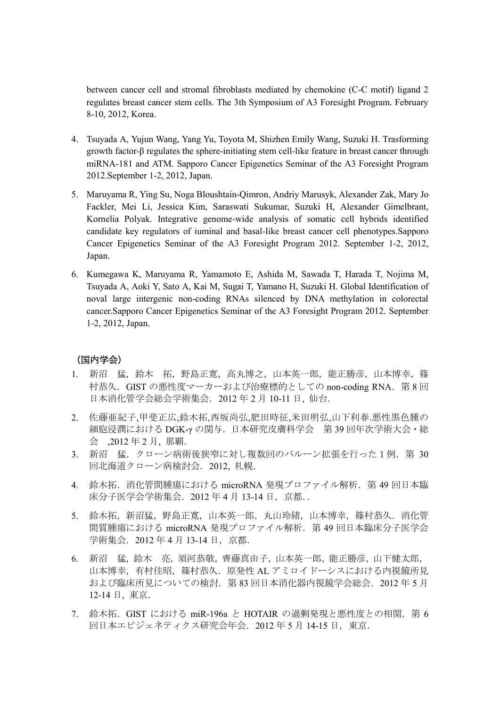between cancer cell and stromal fibroblasts mediated by chemokine (C-C motif) ligand 2 regulates breast cancer stem cells. The 3th Symposium of A3 Foresight Program. February 8-10, 2012, Korea.

- 4. Tsuyada A, Yujun Wang, Yang Yu, Toyota M, Shizhen Emily Wang, Suzuki H. Trasforming growth factor-β regulates the sphere-initiating stem cell-like feature in breast cancer through miRNA-181 and ATM. Sapporo Cancer Epigenetics Seminar of the A3 Foresight Program 2012.September 1-2, 2012, Japan.
- 5. Maruyama R, Ying Su, Noga Bloushtain-Qimron, Andriy Marusyk, Alexander Zak, Mary Jo Fackler, Mei Li, Jessica Kim, Saraswati Sukumar, Suzuki H, Alexander Gimelbrant, Kornelia Polyak. Integrative genome-wide analysis of somatic cell hybrids identified candidate key regulators of iuminal and basal-like breast cancer cell phenotypes.Sapporo Cancer Epigenetics Seminar of the A3 Foresight Program 2012. September 1-2, 2012, Japan.
- 6. Kumegawa K, Maruyama R, Yamamoto E, Ashida M, Sawada T, Harada T, Nojima M, Tsuyada A, Aoki Y, Sato A, Kai M, Sugai T, Yamano H, Suzuki H. Global Identification of noval large intergenic non-coding RNAs silenced by DNA methylation in colorectal cancer.Sapporo Cancer Epigenetics Seminar of the A3 Foresight Program 2012. September 1-2, 2012, Japan.

# (国内学会)

- 1. 新沼 猛,鈴木 拓,野島正寛,高丸博之,山本英一郎,能正勝彦,山本博幸,篠 村恭久. GIST の悪性度マーカーおよび治療標的としての non-coding RNA. 第8回 日本消化管学会総会学術集会.2012 年 2 月 10-11 日, 仙台.
- 2. 佐藤亜紀子,甲斐正広,鈴木拓,西坂尚弘,肥田時征,米田明弘,山下利春.悪性黒色腫の 細胞浸潤における DGK-γ の関与.日本研究皮膚科学会 第 39 回年次学術大会・総 会 ,2012 年 2 月, 那覇.
- 3. 新沼 猛. クローン病術後狭窄に対し複数回のバルーン拡張を行った1例. 第30 回北海道クローン病検討会.2012, 札幌.
- 4. 鈴木拓. 消化管間腫瘍における microRNA 発現プロファイル解析. 第49回日本臨 床分子医学会学術集会.2012 年 4 月 13-14 日,京都..
- 5. 鈴木拓,新沼猛,野島正寛,山本英一郎,丸山玲緒,山本博幸,篠村恭久. 消化管 間質腫瘍における microRNA 発現プロファイル解析. 第49回日本臨床分子医学会 学術集会.2012 年 4 月 13-14 日,京都.
- 6. 新沼 猛,鈴木 亮,須河恭敬,齊藤真由子,山本英一郎,能正勝彦,山下健太郎, 山本博幸,有村佳昭,篠村恭久.原発性 AL アミロイドーシスにおける内視鏡所見 および臨床所見についての検討.第 83 回日本消化器内視鏡学会総会.2012 年 5 月 12-14 日, 東京.
- 7. 鈴木拓.GIST における miR-196a と HOTAIR の過剰発現と悪性度との相関.第 6 回日本エピジェネティクス研究会年会.2012 年 5 月 14-15 日,東京.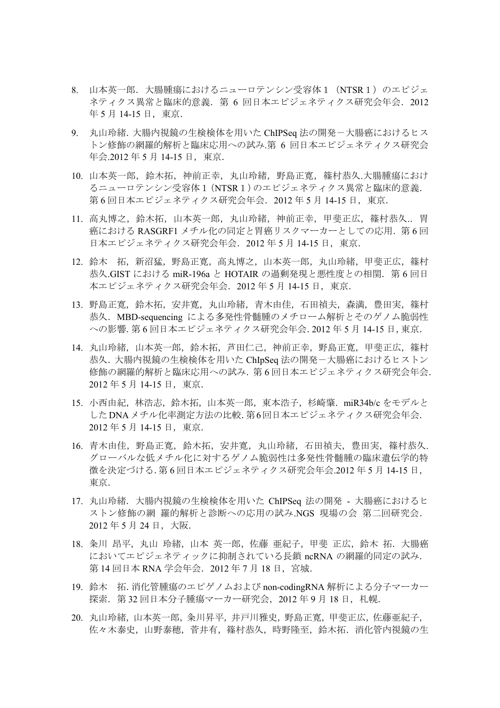- 8. 山本英一郎. 大腸腫瘍におけるニューロテンシン受容体1 (NTSR1)のエピジェ ネティクス異常と臨床的意義. 第6回日本エピジェネティクス研究会年会. 2012 年 5 月 14-15 日, 東京.
- 9. 丸山玲緒. 大腸内視鏡の生検検体を用いた ChIPSeq 法の開発ー大腸癌におけるヒス トン修飾の網羅的解析と臨床応用への試み.第 6 回日本エピジェネティクス研究会 年会.2012年5月14-15日, 東京.
- 10. 山本英一郎,鈴木拓,神前正幸,丸山玲緒,野島正寛,篠村恭久.大腸腫瘍におけ るニューロテンシン受容体1(NTSR1)のエピジェネティクス異常と臨床的意義. 第 6 回日本エピジェネティクス研究会年会.2012 年 5 月 14-15 日,東京.
- 11. 高丸博之,鈴木拓,山本英一郎,丸山玲緒,神前正幸,甲斐正広,篠村恭久..胃 癌における RASGRF1 メチル化の同定と胃癌リスクマーカーとしての応用. 第6回 日本エピジェネティクス研究会年会.2012 年 5 月 14-15 日,東京.
- 12. 鈴木 拓, 新沼猛, 野島正寛, 高丸博之, 山本英一郎, 丸山玲緒, 甲斐正広, 篠村 恭久.GIST における miR-196a と HOTAIR の過剰発現と悪性度との相関.第 6 回日 本エピジェネティクス研究会年会.2012 年 5 月 14-15 日,東京.
- 13. 野島正寛,鈴木拓,安井寛,丸山玲緒,青木由佳,石田禎夫,森満,豊田実,篠村 恭久.MBD-sequencing による多発性骨髄腫のメチローム解析とそのゲノム脆弱性 への影響.第 6 回日本エピジェネティクス研究会年会.2012 年 5 月 14-15 日,東京.
- 14. 丸山玲緒,山本英一郎,鈴木拓,芦田仁己,神前正幸,野島正寛,甲斐正広,篠村 恭久.大腸内視鏡の生検検体を用いた ChIpSeq 法の開発-大腸癌におけるヒストン 修飾の網羅的解析と臨床応用への試み.第 6 回日本エピジェネティクス研究会年会. 2012 年 5 月 14-15 日,東京.
- 15. 小西由紀,林浩志,鈴木拓,山本英一郎,東本浩子,杉崎肇.miR34b/c をモデルと したDNAメチル化率測定方法の比較.第6回日本エピジェネティクス研究会年会. 2012 年 5 月 14-15 日,東京.
- 16. 青木由佳,野島正寛,鈴木拓,安井寛,丸山玲緒,石田禎夫,豊田実,篠村恭久. グローバルな低メチル化に対するゲノム脆弱性は多発性骨髄腫の臨床遺伝学的特 徴を決定づける.第 6 回日本エピジェネティクス研究会年会.2012 年 5 月 14-15 日, 東京.
- 17. 丸山玲緒. 大腸内視鏡の生検検体を用いた ChIPSeq 法の開発 大腸癌におけるヒ ストン修飾の網 羅的解析と診断への応用の試み.NGS 現場の会 第二回研究会. 2012 年 5 月 24 日,大阪.
- 18. 粂川 昂平, 丸山 玲緒, 山本 英一郎, 佐藤 亜紀子, 甲斐 正広, 鈴木 拓. 大腸癌 においてエピジェネティックに抑制されている長鎖 ncRNA の網羅的同定の試み. 第 14 回日本 RNA 学会年会. 2012 年 7 月 18 日, 宮城.
- 19. 鈴木 拓.消化管腫瘍のエピゲノムおよび non-codingRNA 解析による分子マーカー 探索. 第 32 回日本分子腫瘍マーカー研究会, 2012 年 9 月 18 日, 札幌.
- 20. 丸山玲緒,山本英一郎,粂川昇平,井戸川雅史,野島正寛,甲斐正広,佐藤亜紀子, 佐々木泰史,山野泰穂,菅井有,篠村恭久,時野隆至,鈴木拓.消化管内視鏡の生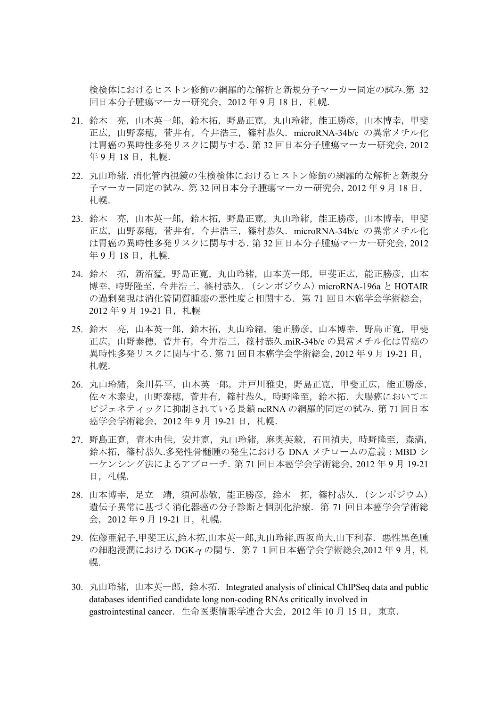検検体におけるヒストン修飾の網羅的な解析と新規分子マーカー同定の試み.第 32 回日本分子腫瘍マーカー研究会, 2012年9月18日, 札幌.

- 21. 鈴木 亮,山本英一郎,鈴木拓,野島正寛,丸山玲緒,能正勝彦,山本博幸,甲斐 正広,山野泰穂,菅井有,今井浩三,篠村恭久.microRNA-34b/c の異常メチル化 は胃癌の異時性多発リスクに関与する.第 32 回日本分子腫瘍マーカー研究会,2012 年 9 月 18 日, 札幌.
- 22. 丸山玲緒.消化管内視鏡の生検検体におけるヒストン修飾の網羅的な解析と新規分 子マーカー同定の試み.第 32 回日本分子腫瘍マーカー研究会,2012 年 9 月 18 日, 札幌.
- 23. 鈴木 亮,山本英一郎,鈴木拓,野島正寛,丸山玲緒,能正勝彦,山本博幸,甲斐 正広,山野泰穂,菅井有,今井浩三,篠村恭久.microRNA-34b/c の異常メチル化 は胃癌の異時性多発リスクに関与する.第 32 回日本分子腫瘍マーカー研究会,2012 年 9 月 18 日, 札幌.
- 24. 鈴木 拓, 新沼猛, 野島正寛, 丸山玲緒, 山本英一郎, 甲斐正広, 能正勝彦, 山本 博幸,時野隆至,今井浩三,篠村恭久. (シンポジウム)microRNA-196a と HOTAIR の過剰発現は消化管間質腫瘍の悪性度と相関する.第 71 回日本癌学会学術総会, 2012年9月19-21日, 札幌
- 25. 鈴木 亮,山本英一郎,鈴木拓,丸山玲緒,能正勝彦,山本博幸,野島正寛,甲斐 正広,山野泰穂,菅井有,今井浩三,篠村恭久.miR-34b/c の異常メチル化は胃癌の 異時性多発リスクに関与する.第 71 回日本癌学会学術総会,2012 年 9 月 19-21 日, 札幌.
- 26. 丸山玲緒, 粂川昇平, 山本英一郎, 井戸川雅史, 野島正寛, 甲斐正広, 能正勝彦, 佐々木泰史,山野泰穂,菅井有,篠村恭久,時野隆至,鈴木拓.大腸癌においてエ ピジェネティックに抑制されている長鎖 ncRNA の網羅的同定の試み. 第 71 回日本 癌学会学術総会, 2012年9月 19-21 日, 札幌.
- 27. 野島正寛,青木由佳, 安井寛, 丸山玲緒, 麻奥英毅, 石田禎夫, 時野隆至, 森満, 鈴木拓,篠村恭久.多発性骨髄腫の発生における DNA メチロームの意義:MBD シ ーケンシング法によるアプローチ.第 71 回日本癌学会学術総会,2012 年 9 月 19-21 日, 札幌.
- 28. 山本博幸, 足立 靖, 須河恭敬, 能正勝彦, 鈴木 拓, 篠村恭久. (シンポジウム) 遺伝子異常に基づく消化器癌の分子診断と個別化治療. 第 71 回日本癌学会学術総 会, 2012年9月19-21日, 札幌.
- 29. 佐藤亜紀子,甲斐正広,鈴木拓,山本英一郎,丸山玲緒,西坂尚大,山下利春. 悪性黒色腫 の細胞浸潤における DGK-γ の関与. 第71回日本癌学会学術総会,2012年9月, 札 幌.
- 30. 丸山玲緒,山本英一郎,鈴木拓. Integrated analysis of clinical ChIPSeq data and public databases identified candidate long non-coding RNAs critically involved in gastrointestinal cancer. 生命医薬情報学連合大会, 2012 年 10 月 15 日, 東京.